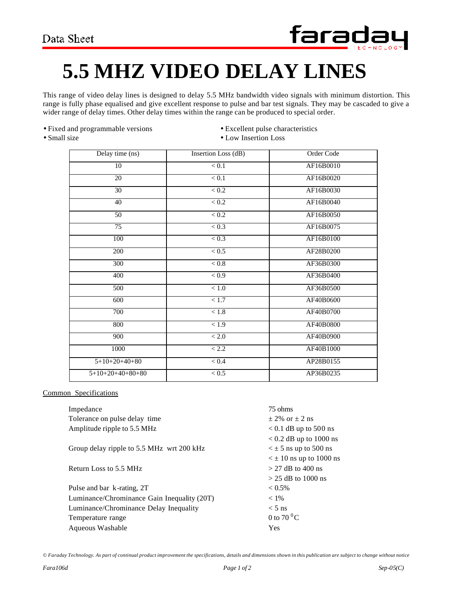

## **5.5 MHZ VIDEO DELAY LINES**

This range of video delay lines is designed to delay 5.5 MHz bandwidth video signals with minimum distortion. This range is fully phase equalised and give excellent response to pulse and bar test signals. They may be cascaded to give a wider range of delay times. Other delay times within the range can be produced to special order.

- Fixed and programmable versions Excellent pulse characteristics
- 
- 
- Small size Low Insertion Loss

| Delay time (ns)    | Insertion Loss (dB) | Order Code |
|--------------------|---------------------|------------|
| 10                 | < 0.1               | AF16B0010  |
| 20                 | < 0.1               | AF16B0020  |
| 30                 | < 0.2               | AF16B0030  |
| 40                 | < 0.2               | AF16B0040  |
| 50                 | < 0.2               | AF16B0050  |
| 75                 | < 0.3               | AF16B0075  |
| 100                | < 0.3               | AF16B0100  |
| 200                | < 0.5               | AF28B0200  |
| 300                | < 0.8               | AF36B0300  |
| 400                | <0.9                | AF36B0400  |
| 500                | < 1.0               | AF36B0500  |
| 600                | < 1.7               | AF40B0600  |
| 700                | < 1.8               | AF40B0700  |
| 800                | < 1.9               | AF40B0800  |
| 900                | $<2.0$              | AF40B0900  |
| 1000               | < 2.2               | AF40B1000  |
| $5+10+20+40+80$    | < 0.4               | AP28B0155  |
| $5+10+20+40+80+80$ | < 0.5               | AP36B0235  |

## Common Specifications

| Impedance                                   | 75 ohms                        |
|---------------------------------------------|--------------------------------|
| Tolerance on pulse delay time               | $+2\%$ or $+2$ ns              |
| Amplitude ripple to 5.5 MHz                 | $< 0.1$ dB up to 500 ns        |
|                                             | $< 0.2$ dB up to 1000 ns       |
| Group delay ripple to 5.5 MHz wrt 200 kHz   | $\leq \pm 5$ ns up to 500 ns   |
|                                             | $\leq \pm 10$ ns up to 1000 ns |
| Return Loss to 5.5 MHz                      | $>$ 27 dB to 400 ns            |
|                                             | $>$ 25 dB to 1000 ns           |
| Pulse and bar k-rating, 2T                  | $< 0.5\%$                      |
| Luminance/Chrominance Gain Inequality (20T) | $< 1\%$                        |
| Luminance/Chrominance Delay Inequality      | $< 5$ ns                       |
| Temperature range                           | 0 to $70^{\circ}$ C            |
| Aqueous Washable                            | <b>Yes</b>                     |
|                                             |                                |

*© Faraday Technology. As part of continual product improvement the specifications, details and dimensions shown in this publication are subject to change without notice*